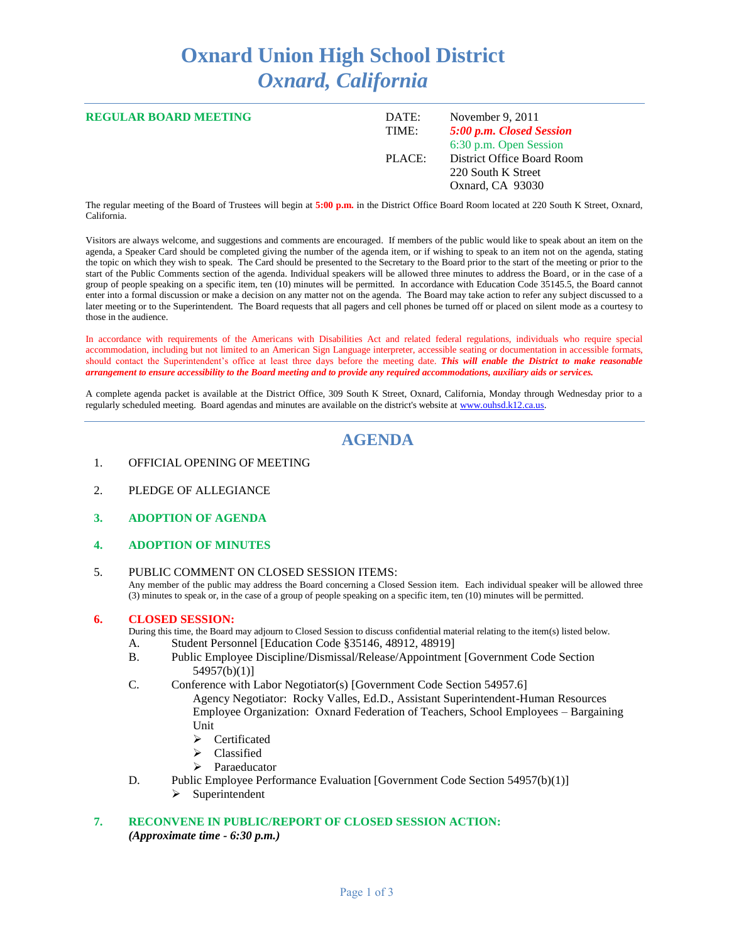# **Oxnard Union High School District** *Oxnard, California*

| <b>REGULAR BOARD MEETING</b> | DATE:<br>TIME: | November 9, 2011<br>5:00 p.m. Closed Session                                                   |
|------------------------------|----------------|------------------------------------------------------------------------------------------------|
|                              | PLACE:         | 6:30 p.m. Open Session<br>District Office Board Room<br>220 South K Street<br>Oxnard, CA 93030 |

The regular meeting of the Board of Trustees will begin at **5:00 p.m.** in the District Office Board Room located at 220 South K Street, Oxnard, California.

Visitors are always welcome, and suggestions and comments are encouraged. If members of the public would like to speak about an item on the agenda, a Speaker Card should be completed giving the number of the agenda item, or if wishing to speak to an item not on the agenda, stating the topic on which they wish to speak. The Card should be presented to the Secretary to the Board prior to the start of the meeting or prior to the start of the Public Comments section of the agenda. Individual speakers will be allowed three minutes to address the Board, or in the case of a group of people speaking on a specific item, ten (10) minutes will be permitted. In accordance with Education Code 35145.5, the Board cannot enter into a formal discussion or make a decision on any matter not on the agenda. The Board may take action to refer any subject discussed to a later meeting or to the Superintendent. The Board requests that all pagers and cell phones be turned off or placed on silent mode as a courtesy to those in the audience.

In accordance with requirements of the Americans with Disabilities Act and related federal regulations, individuals who require special accommodation, including but not limited to an American Sign Language interpreter, accessible seating or documentation in accessible formats, should contact the Superintendent's office at least three days before the meeting date. *This will enable the District to make reasonable arrangement to ensure accessibility to the Board meeting and to provide any required accommodations, auxiliary aids or services.*

A complete agenda packet is available at the District Office, 309 South K Street, Oxnard, California, Monday through Wednesday prior to a regularly scheduled meeting. Board agendas and minutes are available on the district's website a[t www.ouhsd.k12.ca.us.](http://www.ouhsd.k12.ca.us/)

# **AGENDA**

- 1. OFFICIAL OPENING OF MEETING
- 2. PLEDGE OF ALLEGIANCE
- **3. ADOPTION OF AGENDA**
- **4. ADOPTION OF MINUTES**
- 5. PUBLIC COMMENT ON CLOSED SESSION ITEMS: Any member of the public may address the Board concerning a Closed Session item. Each individual speaker will be allowed three (3) minutes to speak or, in the case of a group of people speaking on a specific item, ten (10) minutes will be permitted.

#### **6. CLOSED SESSION:**

During this time, the Board may adjourn to Closed Session to discuss confidential material relating to the item(s) listed below. A. Student Personnel [Education Code §35146, 48912, 48919]

- B. Public Employee Discipline/Dismissal/Release/Appointment [Government Code Section 54957(b)(1)]
- C. Conference with Labor Negotiator(s) [Government Code Section 54957.6]
	- Agency Negotiator: Rocky Valles, Ed.D., Assistant Superintendent-Human Resources Employee Organization: Oxnard Federation of Teachers, School Employees – Bargaining Unit
		- Certificated
		- Classified
		- > Paraeducator
- D. Public Employee Performance Evaluation [Government Code Section 54957(b)(1)]
	- $\triangleright$  Superintendent

## **7. RECONVENE IN PUBLIC/REPORT OF CLOSED SESSION ACTION:** *(Approximate time - 6:30 p.m.)*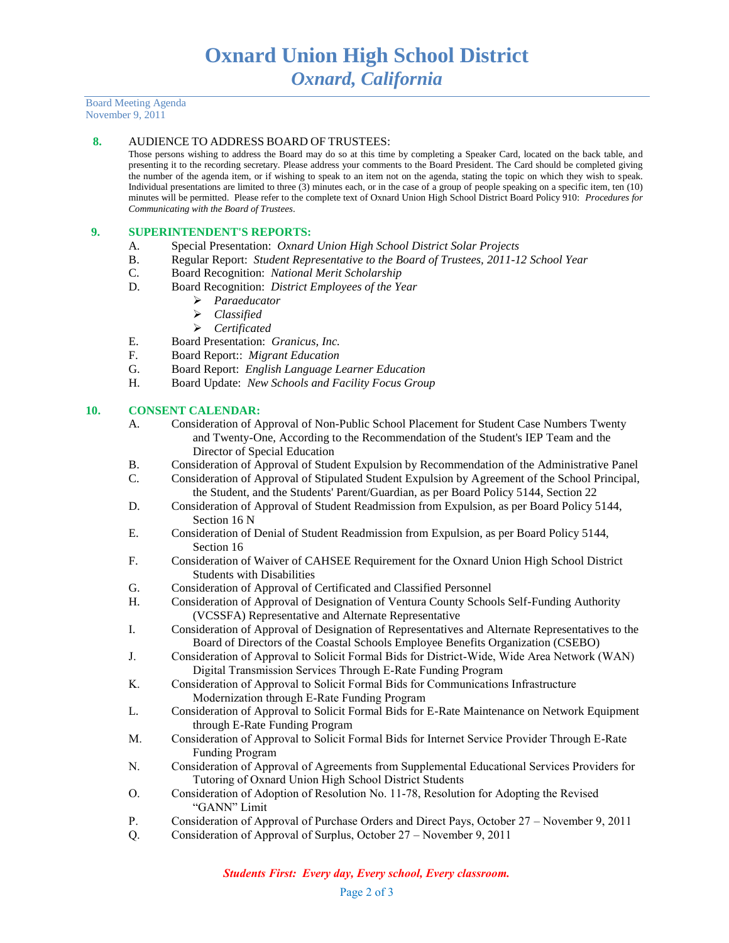Board Meeting Agenda November 9, 2011

#### **8.** AUDIENCE TO ADDRESS BOARD OF TRUSTEES:

Those persons wishing to address the Board may do so at this time by completing a Speaker Card, located on the back table, and presenting it to the recording secretary. Please address your comments to the Board President. The Card should be completed giving the number of the agenda item, or if wishing to speak to an item not on the agenda, stating the topic on which they wish to speak. Individual presentations are limited to three (3) minutes each, or in the case of a group of people speaking on a specific item, ten (10) minutes will be permitted. Please refer to the complete text of Oxnard Union High School District Board Policy 910: *Procedures for Communicating with the Board of Trustees*.

#### **9. SUPERINTENDENT'S REPORTS:**

- A. Special Presentation: *Oxnard Union High School District Solar Projects*
- B. Regular Report: *Student Representative to the Board of Trustees, 2011-12 School Year*
- C. Board Recognition: *National Merit Scholarship*
- D. Board Recognition: *District Employees of the Year*
	- *Paraeducator*
	- *Classified*
	- *Certificated*
- E. Board Presentation: *Granicus, Inc.*
- F. Board Report:: *Migrant Education*
- G. Board Report: *English Language Learner Education*
- H. Board Update: *New Schools and Facility Focus Group*

### **10. CONSENT CALENDAR:**

- A. Consideration of Approval of Non-Public School Placement for Student Case Numbers Twenty and Twenty-One, According to the Recommendation of the Student's IEP Team and the Director of Special Education
- B. Consideration of Approval of Student Expulsion by Recommendation of the Administrative Panel
- C. Consideration of Approval of Stipulated Student Expulsion by Agreement of the School Principal, the Student, and the Students' Parent/Guardian, as per Board Policy 5144, Section 22
- D. Consideration of Approval of Student Readmission from Expulsion, as per Board Policy 5144, Section 16 N
- E. Consideration of Denial of Student Readmission from Expulsion, as per Board Policy 5144, Section 16
- F. Consideration of Waiver of CAHSEE Requirement for the Oxnard Union High School District Students with Disabilities
- G. Consideration of Approval of Certificated and Classified Personnel
- H. Consideration of Approval of Designation of Ventura County Schools Self-Funding Authority (VCSSFA) Representative and Alternate Representative
- I. Consideration of Approval of Designation of Representatives and Alternate Representatives to the Board of Directors of the Coastal Schools Employee Benefits Organization (CSEBO)
- J. Consideration of Approval to Solicit Formal Bids for District-Wide, Wide Area Network (WAN) Digital Transmission Services Through E-Rate Funding Program
- K. Consideration of Approval to Solicit Formal Bids for Communications Infrastructure Modernization through E-Rate Funding Program
- L. Consideration of Approval to Solicit Formal Bids for E-Rate Maintenance on Network Equipment through E-Rate Funding Program
- M. Consideration of Approval to Solicit Formal Bids for Internet Service Provider Through E-Rate Funding Program
- N. Consideration of Approval of Agreements from Supplemental Educational Services Providers for Tutoring of Oxnard Union High School District Students
- O. Consideration of Adoption of Resolution No. 11-78, Resolution for Adopting the Revised "GANN" Limit
- P. Consideration of Approval of Purchase Orders and Direct Pays, October 27 November 9, 2011
- Q. Consideration of Approval of Surplus, October 27 November 9, 2011